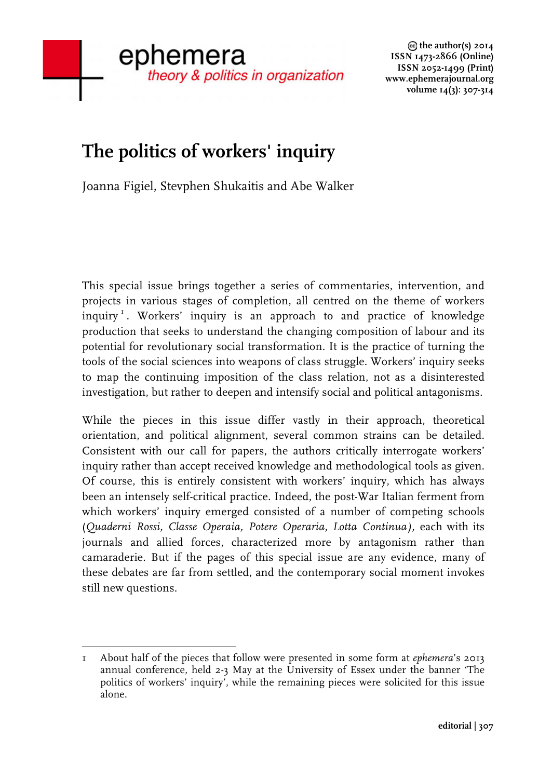## **The politics of workers' inquiry**

Joanna Figiel, Stevphen Shukaitis and Abe Walker

This special issue brings together a series of commentaries, intervention, and projects in various stages of completion, all centred on the theme of workers inquiry<sup>1</sup>. Workers' inquiry is an approach to and practice of knowledge production that seeks to understand the changing composition of labour and its potential for revolutionary social transformation. It is the practice of turning the tools of the social sciences into weapons of class struggle. Workers' inquiry seeks to map the continuing imposition of the class relation, not as a disinterested investigation, but rather to deepen and intensify social and political antagonisms.

While the pieces in this issue differ vastly in their approach, theoretical orientation, and political alignment, several common strains can be detailed. Consistent with our call for papers, the authors critically interrogate workers' inquiry rather than accept received knowledge and methodological tools as given. Of course, this is entirely consistent with workers' inquiry, which has always been an intensely self-critical practice. Indeed, the post-War Italian ferment from which workers' inquiry emerged consisted of a number of competing schools (*Quaderni Rossi, Classe Operaia, Potere Operaria, Lotta Continua),* each with its journals and allied forces, characterized more by antagonism rather than camaraderie. But if the pages of this special issue are any evidence, many of these debates are far from settled, and the contemporary social moment invokes still new questions.

 1 About half of the pieces that follow were presented in some form at *ephemera*'s 2013 annual conference, held 2-3 May at the University of Essex under the banner 'The politics of workers' inquiry', while the remaining pieces were solicited for this issue alone.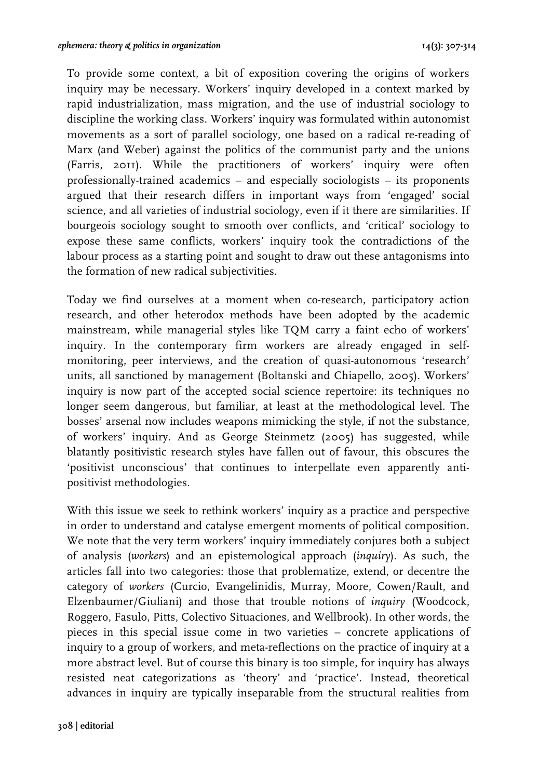To provide some context, a bit of exposition covering the origins of workers inquiry may be necessary. Workers' inquiry developed in a context marked by rapid industrialization, mass migration, and the use of industrial sociology to discipline the working class. Workers' inquiry was formulated within autonomist movements as a sort of parallel sociology, one based on a radical re-reading of Marx (and Weber) against the politics of the communist party and the unions (Farris, 2011). While the practitioners of workers' inquiry were often professionally-trained academics – and especially sociologists – its proponents argued that their research differs in important ways from 'engaged' social science, and all varieties of industrial sociology, even if it there are similarities. If bourgeois sociology sought to smooth over conflicts, and 'critical' sociology to expose these same conflicts, workers' inquiry took the contradictions of the labour process as a starting point and sought to draw out these antagonisms into the formation of new radical subjectivities.

Today we find ourselves at a moment when co-research, participatory action research, and other heterodox methods have been adopted by the academic mainstream, while managerial styles like TQM carry a faint echo of workers' inquiry. In the contemporary firm workers are already engaged in selfmonitoring, peer interviews, and the creation of quasi-autonomous 'research' units, all sanctioned by management (Boltanski and Chiapello, 2005). Workers' inquiry is now part of the accepted social science repertoire: its techniques no longer seem dangerous, but familiar, at least at the methodological level. The bosses' arsenal now includes weapons mimicking the style, if not the substance, of workers' inquiry. And as George Steinmetz (2005) has suggested, while blatantly positivistic research styles have fallen out of favour, this obscures the 'positivist unconscious' that continues to interpellate even apparently antipositivist methodologies.

With this issue we seek to rethink workers' inquiry as a practice and perspective in order to understand and catalyse emergent moments of political composition. We note that the very term workers' inquiry immediately conjures both a subject of analysis (*workers*) and an epistemological approach (*inquiry*). As such, the articles fall into two categories: those that problematize, extend, or decentre the category of *workers* (Curcio, Evangelinidis, Murray, Moore, Cowen/Rault, and Elzenbaumer/Giuliani) and those that trouble notions of *inquiry* (Woodcock, Roggero, Fasulo, Pitts, Colectivo Situaciones, and Wellbrook). In other words, the pieces in this special issue come in two varieties – concrete applications of inquiry to a group of workers, and meta-reflections on the practice of inquiry at a more abstract level. But of course this binary is too simple, for inquiry has always resisted neat categorizations as 'theory' and 'practice'. Instead, theoretical advances in inquiry are typically inseparable from the structural realities from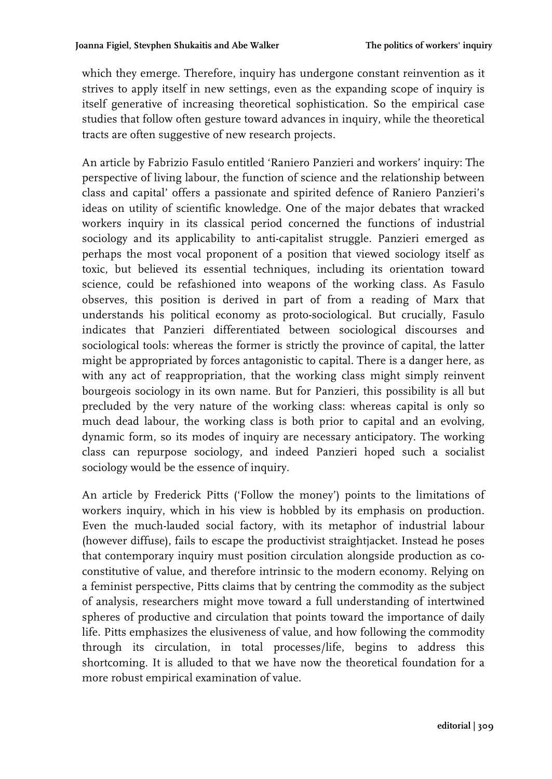which they emerge. Therefore, inquiry has undergone constant reinvention as it strives to apply itself in new settings, even as the expanding scope of inquiry is itself generative of increasing theoretical sophistication. So the empirical case studies that follow often gesture toward advances in inquiry, while the theoretical tracts are often suggestive of new research projects.

An article by Fabrizio Fasulo entitled 'Raniero Panzieri and workers' inquiry: The perspective of living labour, the function of science and the relationship between class and capital' offers a passionate and spirited defence of Raniero Panzieri's ideas on utility of scientific knowledge. One of the major debates that wracked workers inquiry in its classical period concerned the functions of industrial sociology and its applicability to anti-capitalist struggle. Panzieri emerged as perhaps the most vocal proponent of a position that viewed sociology itself as toxic, but believed its essential techniques, including its orientation toward science, could be refashioned into weapons of the working class. As Fasulo observes, this position is derived in part of from a reading of Marx that understands his political economy as proto-sociological. But crucially, Fasulo indicates that Panzieri differentiated between sociological discourses and sociological tools: whereas the former is strictly the province of capital, the latter might be appropriated by forces antagonistic to capital. There is a danger here, as with any act of reappropriation, that the working class might simply reinvent bourgeois sociology in its own name. But for Panzieri, this possibility is all but precluded by the very nature of the working class: whereas capital is only so much dead labour, the working class is both prior to capital and an evolving, dynamic form, so its modes of inquiry are necessary anticipatory. The working class can repurpose sociology, and indeed Panzieri hoped such a socialist sociology would be the essence of inquiry.

An article by Frederick Pitts ('Follow the money') points to the limitations of workers inquiry, which in his view is hobbled by its emphasis on production. Even the much-lauded social factory, with its metaphor of industrial labour (however diffuse), fails to escape the productivist straightjacket. Instead he poses that contemporary inquiry must position circulation alongside production as coconstitutive of value, and therefore intrinsic to the modern economy. Relying on a feminist perspective, Pitts claims that by centring the commodity as the subject of analysis, researchers might move toward a full understanding of intertwined spheres of productive and circulation that points toward the importance of daily life. Pitts emphasizes the elusiveness of value, and how following the commodity through its circulation, in total processes/life, begins to address this shortcoming. It is alluded to that we have now the theoretical foundation for a more robust empirical examination of value.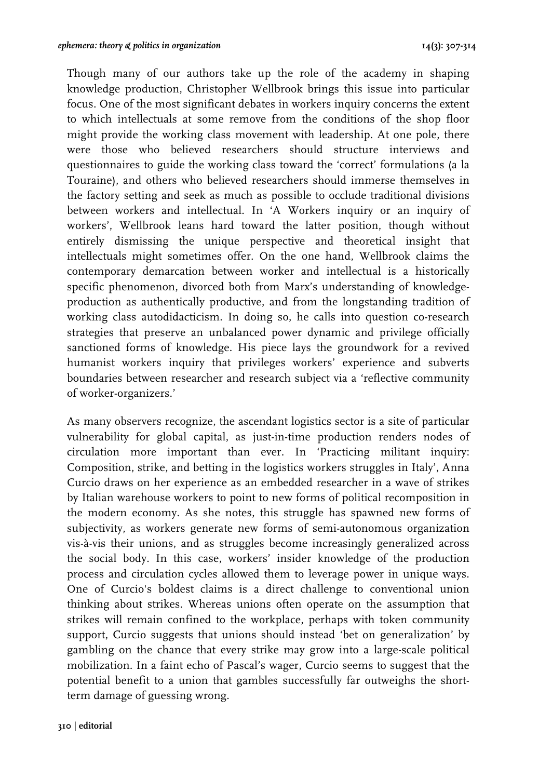Though many of our authors take up the role of the academy in shaping knowledge production, Christopher Wellbrook brings this issue into particular focus. One of the most significant debates in workers inquiry concerns the extent to which intellectuals at some remove from the conditions of the shop floor might provide the working class movement with leadership. At one pole, there were those who believed researchers should structure interviews and questionnaires to guide the working class toward the 'correct' formulations (a la Touraine), and others who believed researchers should immerse themselves in the factory setting and seek as much as possible to occlude traditional divisions between workers and intellectual. In 'A Workers inquiry or an inquiry of workers', Wellbrook leans hard toward the latter position, though without entirely dismissing the unique perspective and theoretical insight that intellectuals might sometimes offer. On the one hand, Wellbrook claims the contemporary demarcation between worker and intellectual is a historically specific phenomenon, divorced both from Marx's understanding of knowledgeproduction as authentically productive, and from the longstanding tradition of working class autodidacticism. In doing so, he calls into question co-research strategies that preserve an unbalanced power dynamic and privilege officially sanctioned forms of knowledge. His piece lays the groundwork for a revived humanist workers inquiry that privileges workers' experience and subverts boundaries between researcher and research subject via a 'reflective community of worker-organizers.'

As many observers recognize, the ascendant logistics sector is a site of particular vulnerability for global capital, as just-in-time production renders nodes of circulation more important than ever. In 'Practicing militant inquiry: Composition, strike, and betting in the logistics workers struggles in Italy', Anna Curcio draws on her experience as an embedded researcher in a wave of strikes by Italian warehouse workers to point to new forms of political recomposition in the modern economy. As she notes, this struggle has spawned new forms of subjectivity, as workers generate new forms of semi-autonomous organization vis-à-vis their unions, and as struggles become increasingly generalized across the social body. In this case, workers' insider knowledge of the production process and circulation cycles allowed them to leverage power in unique ways. One of Curcio's boldest claims is a direct challenge to conventional union thinking about strikes. Whereas unions often operate on the assumption that strikes will remain confined to the workplace, perhaps with token community support, Curcio suggests that unions should instead 'bet on generalization' by gambling on the chance that every strike may grow into a large-scale political mobilization. In a faint echo of Pascal's wager, Curcio seems to suggest that the potential benefit to a union that gambles successfully far outweighs the shortterm damage of guessing wrong.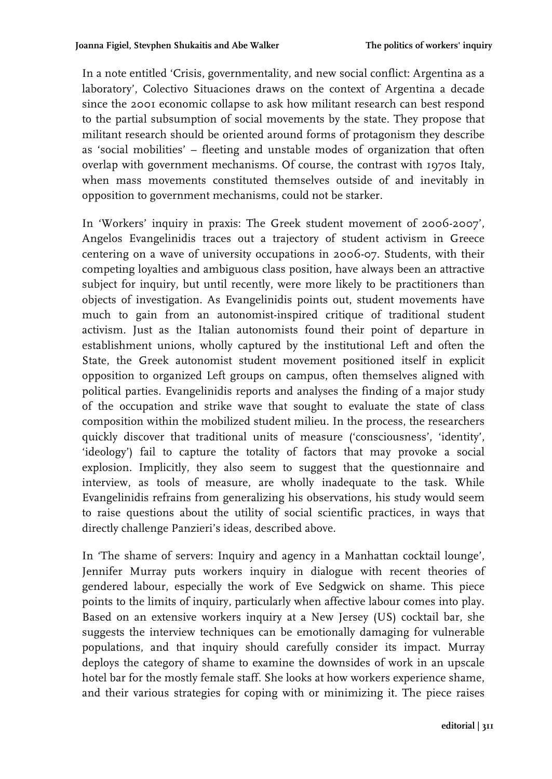In a note entitled 'Crisis, governmentality, and new social conflict: Argentina as a laboratory', Colectivo Situaciones draws on the context of Argentina a decade since the 2001 economic collapse to ask how militant research can best respond to the partial subsumption of social movements by the state. They propose that militant research should be oriented around forms of protagonism they describe as 'social mobilities' – fleeting and unstable modes of organization that often overlap with government mechanisms. Of course, the contrast with 1970s Italy, when mass movements constituted themselves outside of and inevitably in opposition to government mechanisms, could not be starker.

In 'Workers' inquiry in praxis: The Greek student movement of 2006-2007', Angelos Evangelinidis traces out a trajectory of student activism in Greece centering on a wave of university occupations in 2006-07. Students, with their competing loyalties and ambiguous class position, have always been an attractive subject for inquiry, but until recently, were more likely to be practitioners than objects of investigation. As Evangelinidis points out, student movements have much to gain from an autonomist-inspired critique of traditional student activism. Just as the Italian autonomists found their point of departure in establishment unions, wholly captured by the institutional Left and often the State, the Greek autonomist student movement positioned itself in explicit opposition to organized Left groups on campus, often themselves aligned with political parties. Evangelinidis reports and analyses the finding of a major study of the occupation and strike wave that sought to evaluate the state of class composition within the mobilized student milieu. In the process, the researchers quickly discover that traditional units of measure ('consciousness', 'identity', 'ideology') fail to capture the totality of factors that may provoke a social explosion. Implicitly, they also seem to suggest that the questionnaire and interview, as tools of measure, are wholly inadequate to the task. While Evangelinidis refrains from generalizing his observations, his study would seem to raise questions about the utility of social scientific practices, in ways that directly challenge Panzieri's ideas, described above.

In 'The shame of servers: Inquiry and agency in a Manhattan cocktail lounge', Jennifer Murray puts workers inquiry in dialogue with recent theories of gendered labour, especially the work of Eve Sedgwick on shame. This piece points to the limits of inquiry, particularly when affective labour comes into play. Based on an extensive workers inquiry at a New Jersey (US) cocktail bar, she suggests the interview techniques can be emotionally damaging for vulnerable populations, and that inquiry should carefully consider its impact. Murray deploys the category of shame to examine the downsides of work in an upscale hotel bar for the mostly female staff. She looks at how workers experience shame, and their various strategies for coping with or minimizing it. The piece raises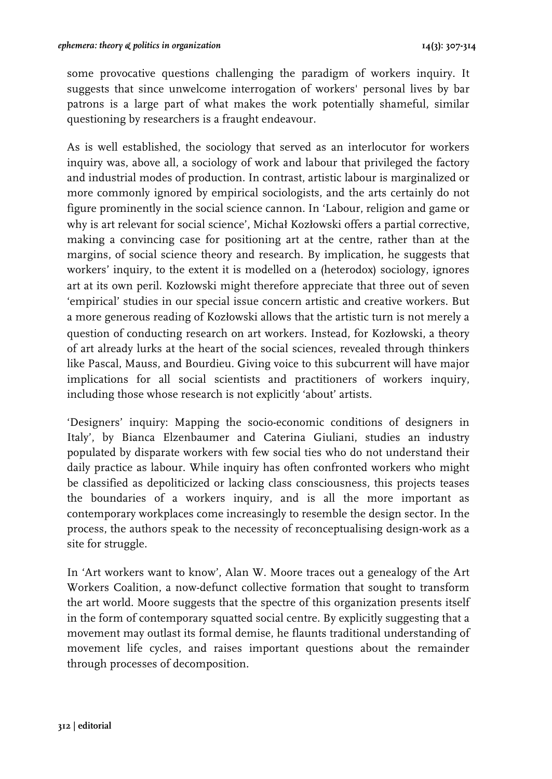some provocative questions challenging the paradigm of workers inquiry. It suggests that since unwelcome interrogation of workers' personal lives by bar patrons is a large part of what makes the work potentially shameful, similar questioning by researchers is a fraught endeavour.

As is well established, the sociology that served as an interlocutor for workers inquiry was, above all, a sociology of work and labour that privileged the factory and industrial modes of production. In contrast, artistic labour is marginalized or more commonly ignored by empirical sociologists, and the arts certainly do not figure prominently in the social science cannon. In 'Labour, religion and game or why is art relevant for social science', Michał Kozłowski offers a partial corrective, making a convincing case for positioning art at the centre, rather than at the margins, of social science theory and research. By implication, he suggests that workers' inquiry, to the extent it is modelled on a (heterodox) sociology, ignores art at its own peril. Kozłowski might therefore appreciate that three out of seven 'empirical' studies in our special issue concern artistic and creative workers. But a more generous reading of Kozłowski allows that the artistic turn is not merely a question of conducting research on art workers. Instead, for Kozłowski, a theory of art already lurks at the heart of the social sciences, revealed through thinkers like Pascal, Mauss, and Bourdieu. Giving voice to this subcurrent will have major implications for all social scientists and practitioners of workers inquiry, including those whose research is not explicitly 'about' artists.

'Designers' inquiry: Mapping the socio-economic conditions of designers in Italy', by Bianca Elzenbaumer and Caterina Giuliani, studies an industry populated by disparate workers with few social ties who do not understand their daily practice as labour. While inquiry has often confronted workers who might be classified as depoliticized or lacking class consciousness, this projects teases the boundaries of a workers inquiry, and is all the more important as contemporary workplaces come increasingly to resemble the design sector. In the process, the authors speak to the necessity of reconceptualising design-work as a site for struggle.

In 'Art workers want to know', Alan W. Moore traces out a genealogy of the Art Workers Coalition, a now-defunct collective formation that sought to transform the art world. Moore suggests that the spectre of this organization presents itself in the form of contemporary squatted social centre. By explicitly suggesting that a movement may outlast its formal demise, he flaunts traditional understanding of movement life cycles, and raises important questions about the remainder through processes of decomposition.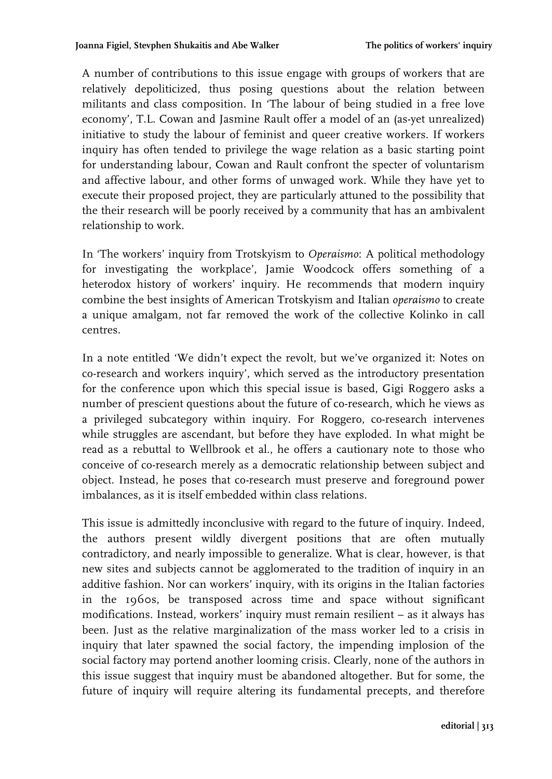A number of contributions to this issue engage with groups of workers that are relatively depoliticized, thus posing questions about the relation between militants and class composition. In 'The labour of being studied in a free love economy', T.L. Cowan and Jasmine Rault offer a model of an (as-yet unrealized) initiative to study the labour of feminist and queer creative workers. If workers inquiry has often tended to privilege the wage relation as a basic starting point for understanding labour, Cowan and Rault confront the specter of voluntarism and affective labour, and other forms of unwaged work. While they have yet to execute their proposed project, they are particularly attuned to the possibility that the their research will be poorly received by a community that has an ambivalent relationship to work.

In 'The workers' inquiry from Trotskyism to *Operaismo*: A political methodology for investigating the workplace', Jamie Woodcock offers something of a heterodox history of workers' inquiry. He recommends that modern inquiry combine the best insights of American Trotskyism and Italian *operaismo* to create a unique amalgam, not far removed the work of the collective Kolinko in call centres.

In a note entitled 'We didn't expect the revolt, but we've organized it: Notes on co-research and workers inquiry', which served as the introductory presentation for the conference upon which this special issue is based, Gigi Roggero asks a number of prescient questions about the future of co-research, which he views as a privileged subcategory within inquiry. For Roggero, co-research intervenes while struggles are ascendant, but before they have exploded. In what might be read as a rebuttal to Wellbrook et al., he offers a cautionary note to those who conceive of co-research merely as a democratic relationship between subject and object. Instead, he poses that co-research must preserve and foreground power imbalances, as it is itself embedded within class relations.

This issue is admittedly inconclusive with regard to the future of inquiry. Indeed, the authors present wildly divergent positions that are often mutually contradictory, and nearly impossible to generalize. What is clear, however, is that new sites and subjects cannot be agglomerated to the tradition of inquiry in an additive fashion. Nor can workers' inquiry, with its origins in the Italian factories in the 1960s, be transposed across time and space without significant modifications. Instead, workers' inquiry must remain resilient – as it always has been. Just as the relative marginalization of the mass worker led to a crisis in inquiry that later spawned the social factory, the impending implosion of the social factory may portend another looming crisis. Clearly, none of the authors in this issue suggest that inquiry must be abandoned altogether. But for some, the future of inquiry will require altering its fundamental precepts, and therefore